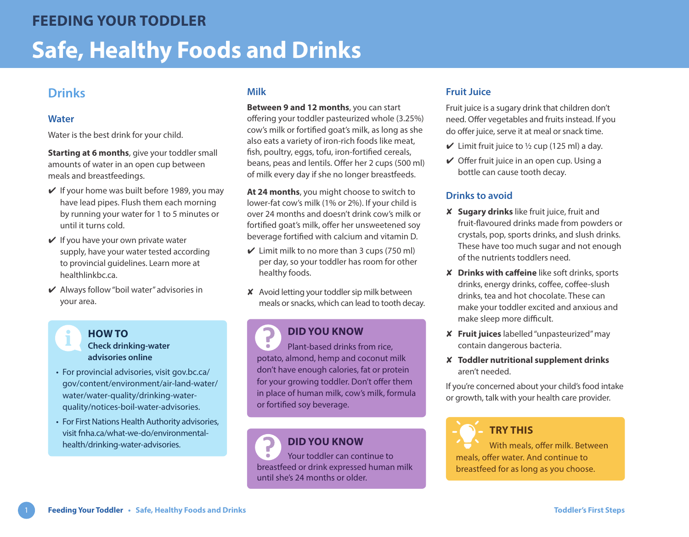# **Drinks**

#### **Water**

Water is the best drink for your child.

**Starting at 6 months**, give your toddler small amounts of water in an open cup between meals and breastfeedings.

- $\vee$  If your home was built before 1989, you may have lead pipes. Flush them each morning by running your water for 1 to 5 minutes or until it turns cold.
- $\vee$  If you have your own private water supply, have your water tested according to provincial guidelines. Learn more at healthlinkbc.ca
- $\vee$  Always follow "boil water" advisories in your area.

## **Milk**

**Between 9 and 12 months**, you can start offering your toddler pasteurized whole (3.25%) cow's milk or fortified goat's milk, as long as she also eats a variety of iron-rich foods like meat, fish, poultry, eggs, tofu, iron-fortified cereals, beans, peas and lentils. Offer her 2 cups (500 ml) of milk every day if she no longer breastfeeds.

**At 24 months**, you might choose to switch to lower-fat cow's milk (1% or 2%). If your child is over 24 months and doesn't drink cow's milk or fortified goat's milk, offer her unsweetened soy beverage fortified with calcium and vitamin D.

- $\vee$  Limit milk to no more than 3 cups (750 ml) per day, so your toddler has room for other healthy foods.
- ✘ Avoid letting your toddler sip milk between meals or snacks, which can lead to tooth decay.

#### 7 **DID YOU KNOW**

Plant-based drinks from rice,  $\bullet$ potato, almond, hemp and coconut milk don't have enough calories, fat or protein for your growing toddler. Don't offer them in place of human milk, cow's milk, formula or fortified soy beverage.

### **DID YOU KNOW**

Your toddler can continue to breastfeed or drink expressed human milk until she's 24 months or older.

### **Fruit Juice**

Fruit juice is a sugary drink that children don't need. Offer vegetables and fruits instead. If you do offer juice, serve it at meal or snack time.

- $\checkmark$  Limit fruit juice to  $\frac{1}{2}$  cup (125 ml) a day.
- $\vee$  Offer fruit juice in an open cup. Using a bottle can cause tooth decay.

### **Drinks to avoid**

- ✘ **Sugary drinks** like fruit juice, fruit and fruit-flavoured drinks made from powders or crystals, pop, sports drinks, and slush drinks. These have too much sugar and not enough of the nutrients toddlers need.
- ✘ **Drinks with caffeine** like soft drinks, sports drinks, energy drinks, coffee, coffee-slush drinks, tea and hot chocolate. These can make your toddler excited and anxious and make sleep more difficult.
- ✘ **Fruit juices** labelled "unpasteurized" may contain dangerous bacteria.
- ✘ **Toddler nutritional supplement drinks** aren't needed.

If you're concerned about your child's food intake or growth, talk with your health care provider.

**TRY THIS** With meals, offer milk. Between meals, offer water. And continue to breastfeed for as long as you choose.

### **HOW TO Check drinking-water**

- **advisories online** • For provincial advisories, visit [gov.bc.ca/](https://www2.gov.bc.ca//gov/content/environment/air-land-water/water/water-quality/drinking-water-quality/notices-boil-water-advisories)
- [gov/content/environment/air-land-water/](https://www2.gov.bc.ca//gov/content/environment/air-land-water/water/water-quality/drinking-water-quality/notices-boil-water-advisories) [water/water-quality/drinking-water](https://www2.gov.bc.ca//gov/content/environment/air-land-water/water/water-quality/drinking-water-quality/notices-boil-water-advisories)[quality/notices-boil-water-advisories.](https://www2.gov.bc.ca//gov/content/environment/air-land-water/water/water-quality/drinking-water-quality/notices-boil-water-advisories)
- For First Nations Health Authority advisories, visit [fnha.ca/what-we-do/environmental](https://www.fnha.ca/what-we-do/environmental-health/drinking-water-advisories)[health/drinking-water-advisories.](https://www.fnha.ca/what-we-do/environmental-health/drinking-water-advisories)